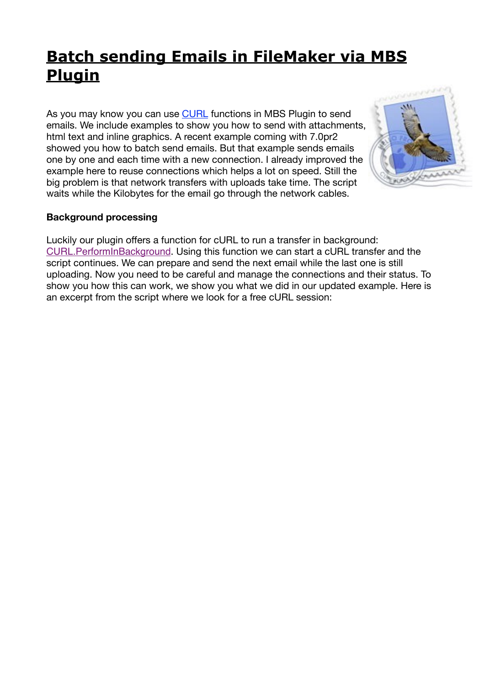## **[Batch sending Emails in FileMaker via MBS](https://www.mbsplugins.de/archive/2017-01-10/Batch_sending_Emails_in_FileMa)  Plugin**

As you may know you can use [CURL](https://www.mbsplugins.eu/component_CURL.shtml) functions in MBS Plugin to send emails. We include examples to show you how to send with attachments, html text and inline graphics. A recent example coming with 7.0pr2 showed you how to batch send emails. But that example sends emails one by one and each time with a new connection. I already improved the example here to reuse connections which helps a lot on speed. Still the big problem is that network transfers with uploads take time. The script waits while the Kilobytes for the email go through the network cables.



## **Background processing**

Luckily our plugin offers a function for cURL to run a transfer in background: [CURL.PerformInBackground](http://www.mbsplugins.eu/CURLPerformInBackground.shtml). Using this function we can start a cURL transfer and the script continues. We can prepare and send the next email while the last one is still uploading. Now you need to be careful and manage the connections and their status. To show you how this can work, we show you what we did in our updated example. Here is an excerpt from the script where we look for a free cURL session: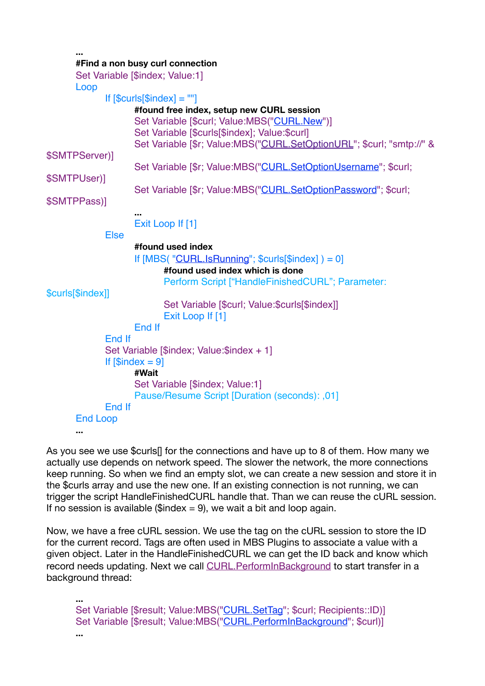**... #Find a non busy curl connection**

|                   | Set Variable [\$index; Value:1]                                       |
|-------------------|-----------------------------------------------------------------------|
| Loop              |                                                                       |
|                   | If $[$curls[$index] = "']$                                            |
|                   | #found free index, setup new CURL session                             |
|                   | Set Variable [\$curl; Value:MBS("CURL.New")]                          |
|                   | Set Variable [\$curls[\$index]; Value:\$curl]                         |
|                   | Set Variable [\$r; Value:MBS("CURL.SetOptionURL"; \$curl; "smtp://" & |
| \$SMTPServer)]    |                                                                       |
|                   | Set Variable [\$r; Value:MBS("CURL.SetOptionUsername"; \$curl;        |
| \$SMTPUser)]      |                                                                       |
|                   | Set Variable [\$r; Value:MBS("CURL.SetOptionPassword"; \$curl;        |
| \$SMTPPass)]      |                                                                       |
|                   |                                                                       |
|                   | Exit Loop If [1]                                                      |
| <b>Else</b>       |                                                                       |
|                   | #found used index                                                     |
|                   | If $[MBS("CURL.IsRunning";$ \$curls $[$index] ) = 0]$                 |
|                   | #found used index which is done                                       |
|                   | Perform Script ["HandleFinishedCURL"; Parameter:                      |
| \$curls[\$index]] |                                                                       |
|                   | Set Variable [\$curl; Value:\$curls[\$index]]                         |
|                   | Exit Loop If [1]                                                      |
|                   | End If                                                                |
|                   | End If                                                                |
|                   | Set Variable [\$index; Value:\$index + 1]                             |
|                   | If $[$index = 9]$<br>#Wait                                            |
|                   | Set Variable [\$index; Value:1]                                       |
|                   | Pause/Resume Script [Duration (seconds): ,01]                         |
|                   | End If                                                                |
| <b>End Loop</b>   |                                                                       |
| $\cdots$          |                                                                       |

As you see we use \$curls[] for the connections and have up to 8 of them. How many we actually use depends on network speed. The slower the network, the more connections keep running. So when we find an empty slot, we can create a new session and store it in the \$curls array and use the new one. If an existing connection is not running, we can trigger the script HandleFinishedCURL handle that. Than we can reuse the cURL session. If no session is available ( $$index = 9$ ), we wait a bit and loop again.

Now, we have a free cURL session. We use the tag on the cURL session to store the ID for the current record. Tags are often used in MBS Plugins to associate a value with a given object. Later in the HandleFinishedCURL we can get the ID back and know which record needs updating. Next we call [CURL.PerformInBackground](http://www.mbsplugins.eu/CURLPerformInBackground.shtml) to start transfer in a background thread:

**...** Set Variable [\$result; Value:MBS(["CURL.SetTag](http://www.mbsplugins.eu/CURLSetTag.shtml)"; \$curl; Recipients::ID)] Set Variable [\$result; Value:MBS(["CURL.PerformInBackground"](http://www.mbsplugins.eu/CURLPerformInBackground.shtml); \$curl)]

**...**